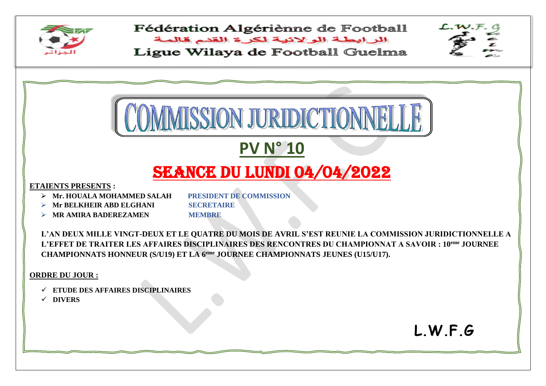

Fédération Algériènne de Football البرابطة الولانية لكرة القدم قالمة

Ligue Wilaya de Football Guelma



**L.W.F.G**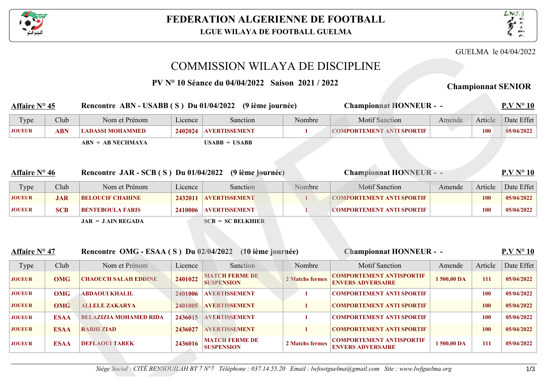



GUELMA le 04/04/2022

## COMMISSION WILAYA DE DISCIPLINE

**PV N** 10 Séance du 04/04/2022 Saison 2021 / 2022 Championnat SENIOR

## **Affaire N∞ 45 Rencontre ABN - USABB ( S ) Du 01/04/2022 (9 iËme journÈe)** Type Club Nom et Prénom Licence Sanction Nombre Motif Sanction Amende Article Date Effet **Championnat HONNEUR - - P.V N** 10 **JOUEUR ABN LADASSI MOHAMMED 2402024 AVERTISSEMENT 1 COMPORTEMENT ANTI SPORTIF 100 05/04/2022 ABN = AB NECHMAYA USABB = USABB Affaire N** 46 **Rencontre JAR - SCB (S)** Du 01/04/2022 (9 ième journée) Type Club Nom et Prénom Licence Sanction Nombre Motif Sanction Amende Article Date Effet **Championnat HONNEUR - - P.V N** 10 **JOUEUR JAR BELOUCIF CHAHINE 2432011 AVERTISSEMENT 1 COMPORTEMENT ANTI SPORTIF 100 05/04/2022 JOUEUR SCB BENTEBOULA FARIS 2410006 AVERTISSEMENT 1 COMPORTEMENT ANTI SPORTIF 100 05/04/2022 JAR = J AIN REGADA SCB = SC BELKHIER Affaire N** 47 **Rencontre OMG - ESAA (S) Du 02/04/2022** (10 ième journée) Type Club Nom et Prénom Licence Sanction Nombre Motif Sanction Amende Article Date Effet **Championnat HONNEUR - - P.V N** 10 **JOUEUR OMG CHAOUCH SALAH EDDINE 2401022 MATCH FERME DE 2 Matchs fermes COMPORTEMENT ANTISPORTIF ENVERS ADVERSAIRE 1500,00 DA 111 05/04/2022**<br>**ENVERS ADVERSAIRE MATCH FERME DE JOUEUR OMG ABDAOUI KHALIL 2401006 AVERTISSEMENT 1 COMPORTEMENT ANTI SPORTIF 100 05/04/2022 JOUEUR OMG ALLELE ZAKARYA 2401005 AVERTISSEMENT 1 COMPORTEMENT ANTI SPORTIF 100 05/04/2022 Sieme Social : CIT (S) Du 01/04/2022** (10 tème journée)<br> **RENOUILATER Social : COMPORTEMENT ANTISPORTIF**<br> **BENOUILATER SOCIAL ATALLES (AVENUE COMPORTEMENT ANTISPORTIF**<br> **BENOUILATER JAN BEGADA**<br> **RENOUILATER SOCIAL ENGINE** GUELMA le 04/04/2<br>
Saison 2021 / 2022<br>
Championnat HONNEUR - -<br>
Nombre Motif Sanction<br>
1 COMPORTEMENT ANTI SPORTIF<br>
100 05/04/2<br>
Championnat HONNEUR - -<br>
Nombre Motif Sanction<br>
1 COMPORTEMENT ANTI SPORTIF<br>
100 05/04/2<br>
COM

**ENVERS ADVERSAIRE 1 500,00 DA 111 1 05/04/2022**<br>**ENVERS ADVERSAIRE** 

**JOUEUR ESAA DEFLAOUI TAREK 2436016 COMPORTEMENT ANTISPORTIF 2 Matchs fermes COMPORTEMENT ANTISPORTIF** 

**MATCH FERME DE** 

**JOUEUR ESAA BELAZIZIA MOHAMED RIDA 2436015 AVERTISSEMENT 1 COMPORTEMENT ANTI SPORTIF 100 05/04/2022 JOUEUR ESAA RABHI ZIAD 2436027 AVERTISSEMENT 1 COMPORTEMENT ANTI SPORTIF 100 05/04/2022**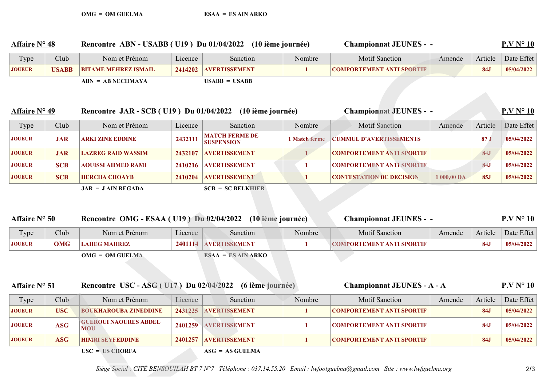| <b>Affaire N</b> 48                          |                    | Rencontre ABN - USABB (U19) Du 01/04/2022 (10 ième journée)                                                                  |                    |                                                         |                                                                                                                                 | <b>Championnat JEUNES - -</b>                                                              |             |                       | P.V N 10                             |  |  |  |  |  |
|----------------------------------------------|--------------------|------------------------------------------------------------------------------------------------------------------------------|--------------------|---------------------------------------------------------|---------------------------------------------------------------------------------------------------------------------------------|--------------------------------------------------------------------------------------------|-------------|-----------------------|--------------------------------------|--|--|--|--|--|
| Type                                         | Club               | Nom et Prénom                                                                                                                | Licence            | Sanction                                                | Nombre                                                                                                                          | <b>Motif Sanction</b>                                                                      | Amende      | Article               | Date Effet                           |  |  |  |  |  |
| <b>JOUEUR</b>                                | <b>USABB</b>       | <b>BITAME MEHREZ ISMAIL</b>                                                                                                  | 2414202            | <b>AVERTISSEMENT</b>                                    | 1                                                                                                                               | <b>COMPORTEMENT ANTI SPORTIF</b>                                                           |             | <b>84J</b>            | 05/04/2022                           |  |  |  |  |  |
|                                              |                    | $ABN = AB NECHMAYA$                                                                                                          |                    | $USABB = USABB$                                         |                                                                                                                                 |                                                                                            |             |                       |                                      |  |  |  |  |  |
| <b>Affaire N</b> 49                          |                    | Rencontre JAR - SCB (U19) Du 01/04/2022 (10 ième journée)                                                                    |                    |                                                         |                                                                                                                                 | <b>Championnat JEUNES - -</b>                                                              |             |                       | P.V N 10                             |  |  |  |  |  |
| Type                                         | Club               | Nom et Prénom                                                                                                                | Licence            | Sanction                                                | Nombre                                                                                                                          | <b>Motif Sanction</b>                                                                      | Amende      | Article               | Date Effet                           |  |  |  |  |  |
| <b>JOUEUR</b>                                | <b>JAR</b>         | <b>ARKI ZINE EDDINE</b>                                                                                                      | 2432111            | <b>MATCH FERME DE</b><br><b>SUSPENSION</b>              | 1 Match ferme                                                                                                                   | <b>CUMMUL D'AVERTISSEMENTS</b>                                                             |             | 87J                   | 05/04/2022                           |  |  |  |  |  |
| <b>JOUEUR</b>                                | <b>JAR</b>         | <b>LAZREG RAID WASSIM</b>                                                                                                    | 2432107            | <b>AVERTISSEMENT</b>                                    | $\mathbf 1$                                                                                                                     | <b>COMPORTEMENT ANTI SPORTIF</b>                                                           |             | <b>84J</b>            | 05/04/2022                           |  |  |  |  |  |
| <b>JOUEUR</b>                                | <b>SCB</b>         | <b>AOUISSI AHMED RAMI</b>                                                                                                    | 2410216            | <b>AVERTISSEMENT</b>                                    | 1                                                                                                                               | <b>COMPORTEMENT ANTI SPORTIF</b>                                                           |             | 84J                   | 05/04/2022                           |  |  |  |  |  |
| <b>JOUEUR</b>                                | <b>SCB</b>         | <b>HERCHA CHOAYB</b>                                                                                                         | 2410204            | <b>AVERTISSEMENT</b>                                    | $\blacksquare$                                                                                                                  | <b>CONTESTATION DE DECISION</b>                                                            | 1 000,00 DA | <b>85J</b>            | 05/04/2022                           |  |  |  |  |  |
| <b>Affaire N</b> 50<br>Type<br><b>JOUEUR</b> | Club<br><b>OMG</b> | Rencontre OMG - ESAA (U19) Du 02/04/2022 (10 ième journée)<br>Nom et Prénom<br><b>LAHEG MAHREZ</b><br><b>OMG = OM GUELMA</b> | Licence<br>2401114 | Sanction<br><b>AVERTISSEMENT</b><br>$ESAA = ESAIN ARKO$ | Nombre<br>1                                                                                                                     | <b>Championnat JEUNES - -</b><br><b>Motif Sanction</b><br><b>COMPORTEMENT ANTI SPORTIF</b> | Amende      | Article<br><b>84J</b> | P.V N 10<br>Date Effet<br>05/04/2022 |  |  |  |  |  |
| <b>Affaire N</b> 51                          |                    | Rencontre USC - $\text{ASG}$ (U17) Du 02/04/2022 (6 ième journée)                                                            |                    |                                                         |                                                                                                                                 | <b>Championnat JEUNES - A - A</b>                                                          |             |                       | P.V N 10                             |  |  |  |  |  |
| Type                                         | Club               | Nom et Prénom                                                                                                                | Licence            | Sanction                                                | Nombre                                                                                                                          | <b>Motif Sanction</b>                                                                      | Amende      | Article               | Date Effet                           |  |  |  |  |  |
| <b>JOUEUR</b>                                | <b>USC</b>         | <b>BOUKHAROUBA ZINEDDINE</b>                                                                                                 | 2431225            | <b>AVERTISSEMENT</b>                                    | 1                                                                                                                               | <b>COMPORTEMENT ANTI SPORTIF</b>                                                           |             | <b>84J</b>            | 05/04/2022                           |  |  |  |  |  |
| <b>JOUEUR</b>                                | <b>ASG</b>         | <b>GUEROUI NAOURES ABDEL</b><br><b>MOU</b>                                                                                   |                    | 2401259 AVERTISSEMENT                                   | -1.                                                                                                                             | <b>COMPORTEMENT ANTI SPORTIF</b>                                                           |             | <b>84J</b>            | 05/04/2022                           |  |  |  |  |  |
| <b>JOUEUR</b>                                | <b>ASG</b>         | <b>HIMRI SEYFEDDINE</b>                                                                                                      | 2401257            | <b>AVERTISSEMENT</b>                                    | 1                                                                                                                               | <b>COMPORTEMENT ANTI SPORTIF</b>                                                           |             | <b>84J</b>            | 05/04/2022                           |  |  |  |  |  |
| $USC = US CHORFA$<br>$ASG = AS GUELMA$       |                    |                                                                                                                              |                    |                                                         |                                                                                                                                 |                                                                                            |             |                       |                                      |  |  |  |  |  |
|                                              |                    |                                                                                                                              |                    |                                                         | Siège Social : CITÉ BENSOUILAH BT 7 N 7 Téléphone : 037.14.55.20 Email : lwfootguelma@gmail.com Site : www.lwfguelma.org<br>2/3 |                                                                                            |             |                       |                                      |  |  |  |  |  |